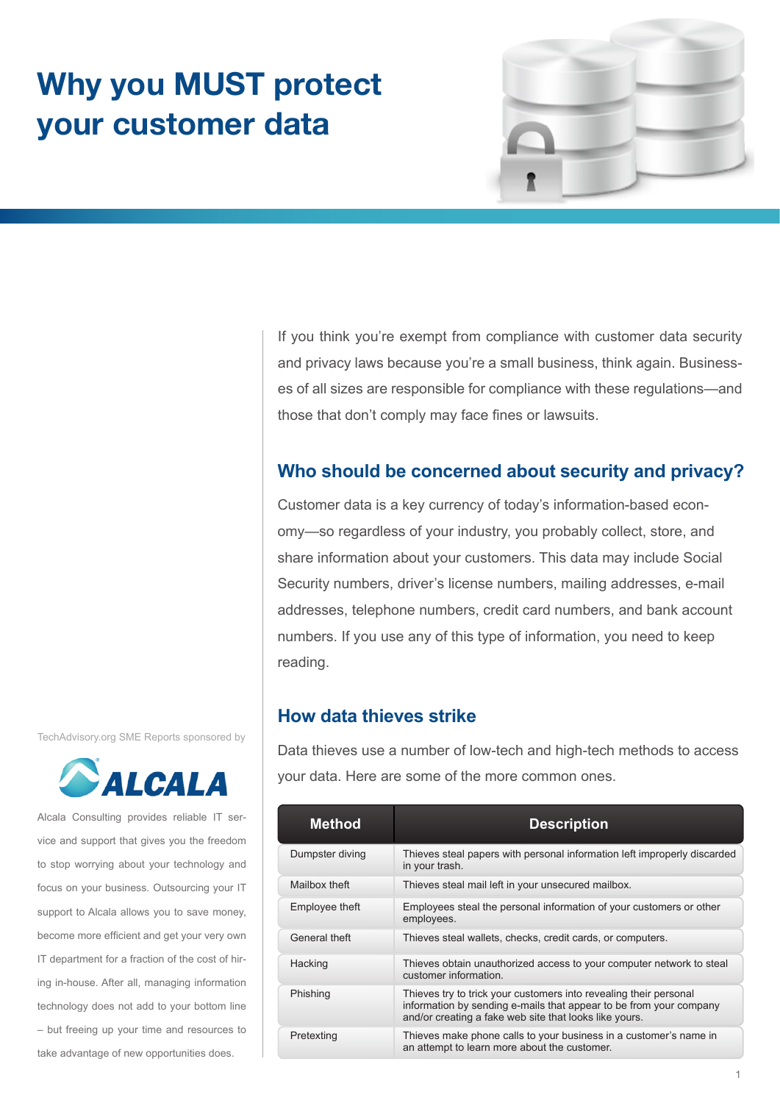# **Why you MUST protect your customer data**



If you think you're exempt from compliance with customer data security and privacy laws because you're a small business, think again. Businesses of all sizes are responsible for compliance with these regulations—and those that don't comply may face fines or lawsuits.

# **Who should be concerned about security and privacy?**

Customer data is a key currency of today's information-based economy—so regardless of your industry, you probably collect, store, and share information about your customers. This data may include Social Security numbers, driver's license numbers, mailing addresses, e-mail addresses, telephone numbers, credit card numbers, and bank account numbers. If you use any of this type of information, you need to keep reading.

## **How data thieves strike**

Data thieves use a number of low-tech and high-tech methods to access your data. Here are some of the more common ones.

| <b>Method</b>   | <b>Description</b>                                                                                                                                                                                |
|-----------------|---------------------------------------------------------------------------------------------------------------------------------------------------------------------------------------------------|
| Dumpster diving | Thieves steal papers with personal information left improperly discarded<br>in your trash.                                                                                                        |
| Mailbox theft   | Thieves steal mail left in your unsecured mailbox.                                                                                                                                                |
| Employee theft  | Employees steal the personal information of your customers or other<br>employees.                                                                                                                 |
| General theft   | Thieves steal wallets, checks, credit cards, or computers.                                                                                                                                        |
| Hacking         | Thieves obtain unauthorized access to your computer network to steal<br>customer information.                                                                                                     |
| Phishing        | Thieves try to trick your customers into revealing their personal<br>information by sending e-mails that appear to be from your company<br>and/or creating a fake web site that looks like yours. |
| Pretexting      | Thieves make phone calls to your business in a customer's name in<br>an attempt to learn more about the customer.                                                                                 |

TechAdvisory.org SME Reports sponsored by



Alcala Consulting provides reliable IT service and support that gives you the freedom to stop worrying about your technology and focus on your business. Outsourcing your IT support to Alcala allows you to save money, become more efficient and get your very own IT department for a fraction of the cost of hiring in-house. After all, managing information technology does not add to your bottom line – but freeing up your time and resources to take advantage of new opportunities does.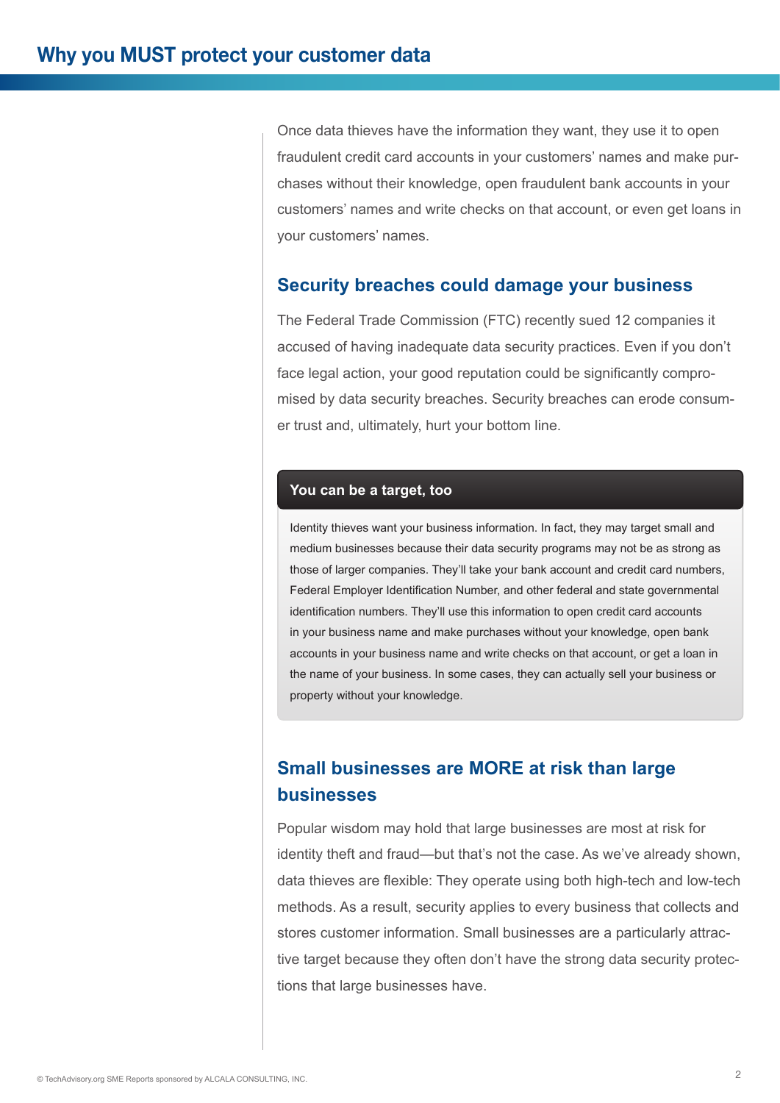Once data thieves have the information they want, they use it to open fraudulent credit card accounts in your customers' names and make purchases without their knowledge, open fraudulent bank accounts in your customers' names and write checks on that account, or even get loans in your customers' names.

### **Security breaches could damage your business**

The Federal Trade Commission (FTC) recently sued 12 companies it accused of having inadequate data security practices. Even if you don't face legal action, your good reputation could be significantly compromised by data security breaches. Security breaches can erode consumer trust and, ultimately, hurt your bottom line.

#### **You can be a target, too**

Identity thieves want your business information. In fact, they may target small and medium businesses because their data security programs may not be as strong as those of larger companies. They'll take your bank account and credit card numbers, Federal Employer Identification Number, and other federal and state governmental identification numbers. They'll use this information to open credit card accounts in your business name and make purchases without your knowledge, open bank accounts in your business name and write checks on that account, or get a loan in the name of your business. In some cases, they can actually sell your business or property without your knowledge.

# **Small businesses are MORE at risk than large businesses**

Popular wisdom may hold that large businesses are most at risk for identity theft and fraud—but that's not the case. As we've already shown, data thieves are flexible: They operate using both high-tech and low-tech methods. As a result, security applies to every business that collects and stores customer information. Small businesses are a particularly attractive target because they often don't have the strong data security protections that large businesses have.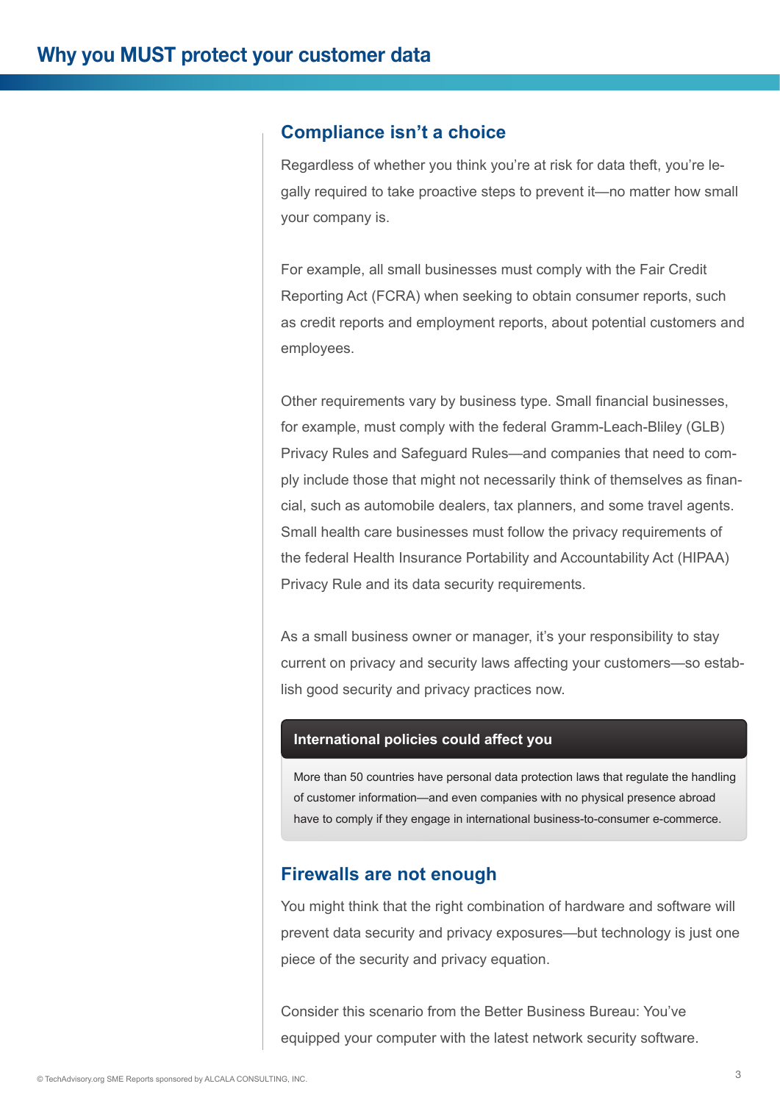## **Compliance isn't a choice**

Regardless of whether you think you're at risk for data theft, you're legally required to take proactive steps to prevent it—no matter how small your company is.

For example, all small businesses must comply with the Fair Credit Reporting Act (FCRA) when seeking to obtain consumer reports, such as credit reports and employment reports, about potential customers and employees.

Other requirements vary by business type. Small financial businesses, for example, must comply with the federal Gramm-Leach-Bliley (GLB) Privacy Rules and Safeguard Rules—and companies that need to comply include those that might not necessarily think of themselves as financial, such as automobile dealers, tax planners, and some travel agents. Small health care businesses must follow the privacy requirements of the federal Health Insurance Portability and Accountability Act (HIPAA) Privacy Rule and its data security requirements.

As a small business owner or manager, it's your responsibility to stay current on privacy and security laws affecting your customers—so establish good security and privacy practices now.

#### **International policies could affect you**

More than 50 countries have personal data protection laws that regulate the handling of customer information—and even companies with no physical presence abroad have to comply if they engage in international business-to-consumer e-commerce.

### **Firewalls are not enough**

You might think that the right combination of hardware and software will prevent data security and privacy exposures—but technology is just one piece of the security and privacy equation.

Consider this scenario from the Better Business Bureau: You've equipped your computer with the latest network security software.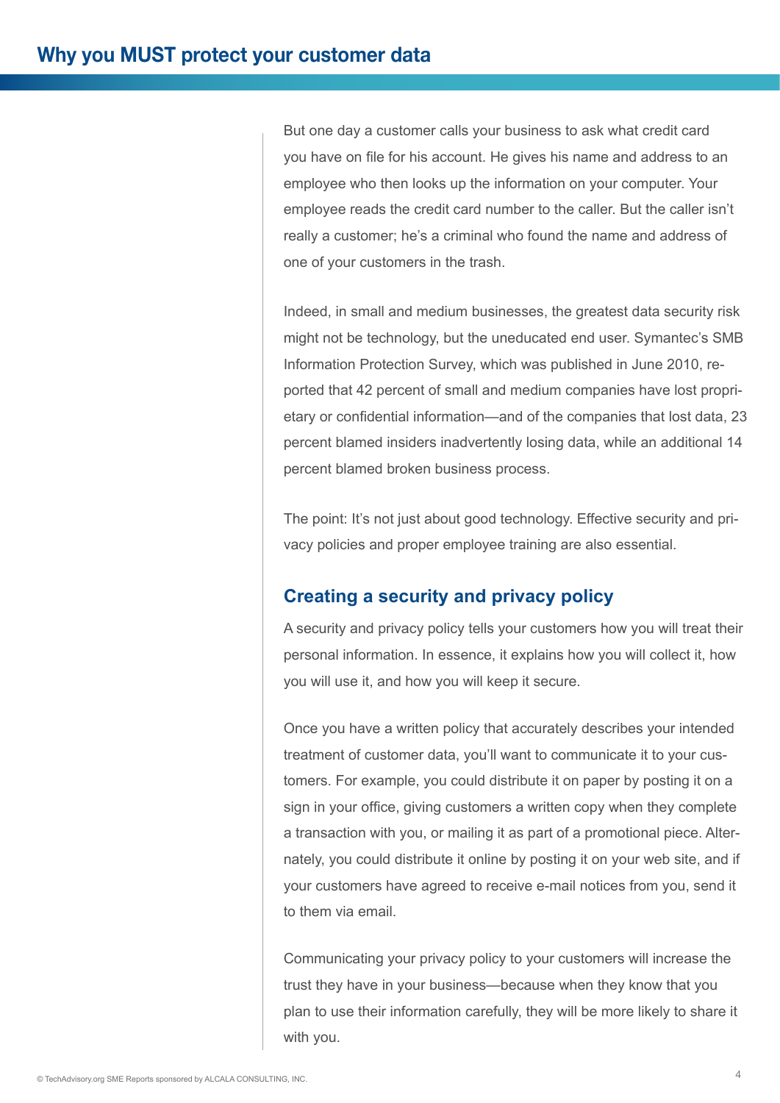But one day a customer calls your business to ask what credit card you have on file for his account. He gives his name and address to an employee who then looks up the information on your computer. Your employee reads the credit card number to the caller. But the caller isn't really a customer; he's a criminal who found the name and address of one of your customers in the trash.

Indeed, in small and medium businesses, the greatest data security risk might not be technology, but the uneducated end user. Symantec's SMB Information Protection Survey, which was published in June 2010, reported that 42 percent of small and medium companies have lost proprietary or confidential information—and of the companies that lost data, 23 percent blamed insiders inadvertently losing data, while an additional 14 percent blamed broken business process.

The point: It's not just about good technology. Effective security and privacy policies and proper employee training are also essential.

# **Creating a security and privacy policy**

A security and privacy policy tells your customers how you will treat their personal information. In essence, it explains how you will collect it, how you will use it, and how you will keep it secure.

Once you have a written policy that accurately describes your intended treatment of customer data, you'll want to communicate it to your customers. For example, you could distribute it on paper by posting it on a sign in your office, giving customers a written copy when they complete a transaction with you, or mailing it as part of a promotional piece. Alternately, you could distribute it online by posting it on your web site, and if your customers have agreed to receive e-mail notices from you, send it to them via email.

Communicating your privacy policy to your customers will increase the trust they have in your business—because when they know that you plan to use their information carefully, they will be more likely to share it with you.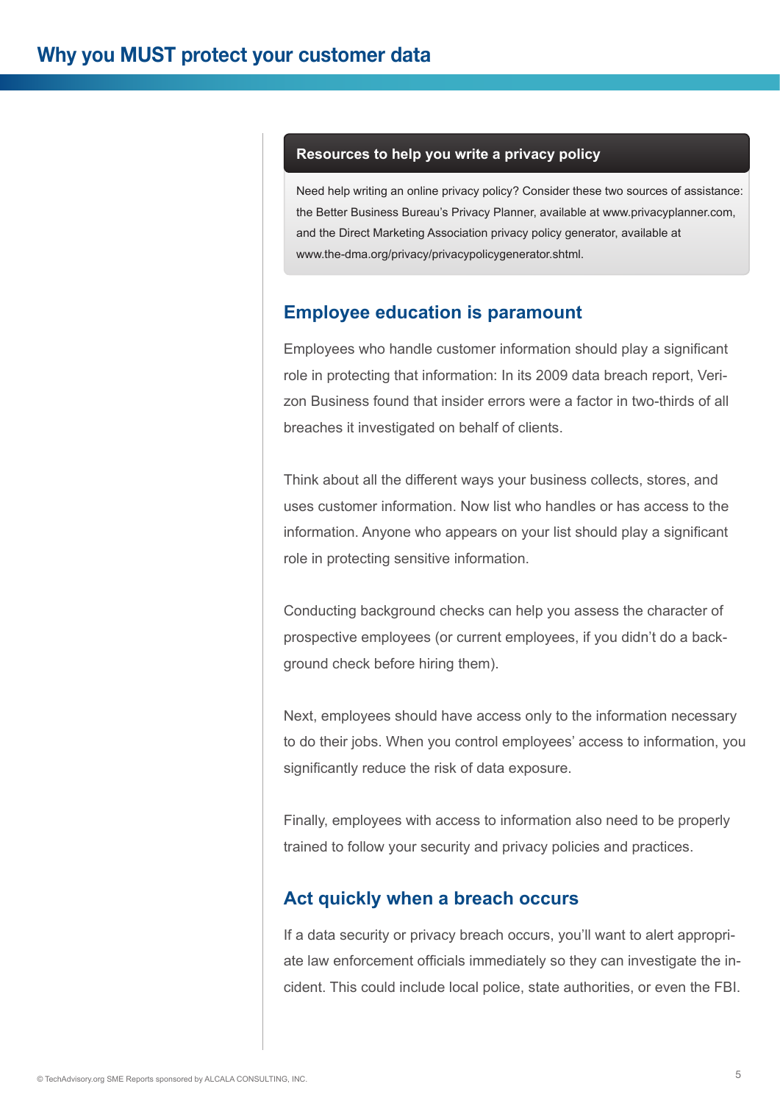#### **Resources to help you write a privacy policy**

Need help writing an online privacy policy? Consider these two sources of assistance: the Better Business Bureau's Privacy Planner, available at www.privacyplanner.com, and the Direct Marketing Association privacy policy generator, available at www.the-dma.org/privacy/privacypolicygenerator.shtml.

## **Employee education is paramount**

Employees who handle customer information should play a significant role in protecting that information: In its 2009 data breach report, Verizon Business found that insider errors were a factor in two-thirds of all breaches it investigated on behalf of clients.

Think about all the different ways your business collects, stores, and uses customer information. Now list who handles or has access to the information. Anyone who appears on your list should play a significant role in protecting sensitive information.

Conducting background checks can help you assess the character of prospective employees (or current employees, if you didn't do a background check before hiring them).

Next, employees should have access only to the information necessary to do their jobs. When you control employees' access to information, you significantly reduce the risk of data exposure.

Finally, employees with access to information also need to be properly trained to follow your security and privacy policies and practices.

### **Act quickly when a breach occurs**

If a data security or privacy breach occurs, you'll want to alert appropriate law enforcement officials immediately so they can investigate the incident. This could include local police, state authorities, or even the FBI.